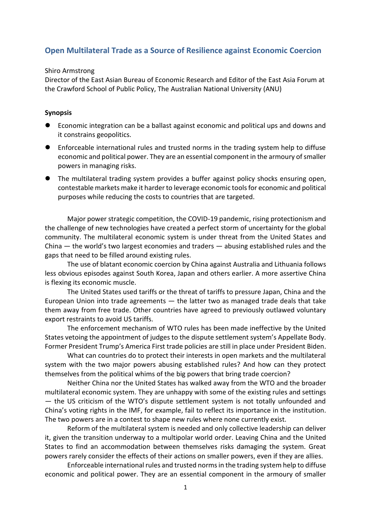## **Open Multilateral Trade as a Source of Resilience against Economic Coercion**

## Shiro Armstrong

Director of the East Asian Bureau of Economic Research and Editor of the East Asia Forum at the Crawford School of Public Policy, The Australian National University (ANU)

## **Synopsis**

- Economic integration can be a ballast against economic and political ups and downs and it constrains geopolitics.
- Enforceable international rules and trusted norms in the trading system help to diffuse economic and political power. They are an essential component in the armoury of smaller powers in managing risks.
- The multilateral trading system provides a buffer against policy shocks ensuring open, contestable markets make it harder to leverage economic tools for economic and political purposes while reducing the costs to countries that are targeted.

Major power strategic competition, the COVID-19 pandemic, rising protectionism and the challenge of new technologies have created a perfect storm of uncertainty for the global community. The multilateral economic system is under threat from the United States and China — the world's two largest economies and traders — abusing established rules and the gaps that need to be filled around existing rules.

The use of blatant economic coercion by China against Australia and Lithuania follows less obvious episodes against South Korea, Japan and others earlier. A more assertive China is flexing its economic muscle.

The United States used tariffs or the threat of tariffs to pressure Japan, China and the European Union into trade agreements — the latter two as managed trade deals that take them away from free trade. Other countries have agreed to previously outlawed voluntary export restraints to avoid US tariffs.

The enforcement mechanism of WTO rules has been made ineffective by the United States vetoing the appointment of judges to the dispute settlement system's Appellate Body. Former President Trump's America First trade policies are still in place under President Biden.

What can countries do to protect their interests in open markets and the multilateral system with the two major powers abusing established rules? And how can they protect themselves from the political whims of the big powers that bring trade coercion?

Neither China nor the United States has walked away from the WTO and the broader multilateral economic system. They are unhappy with some of the existing rules and settings — the US criticism of the WTO's dispute settlement system is not totally unfounded and China's voting rights in the IMF, for example, fail to reflect its importance in the institution. The two powers are in a contest to shape new rules where none currently exist.

Reform of the multilateral system is needed and only collective leadership can deliver it, given the transition underway to a multipolar world order. Leaving China and the United States to find an accommodation between themselves risks damaging the system. Great powers rarely consider the effects of their actions on smaller powers, even if they are allies.

Enforceable international rules and trusted norms in the trading system help to diffuse economic and political power. They are an essential component in the armoury of smaller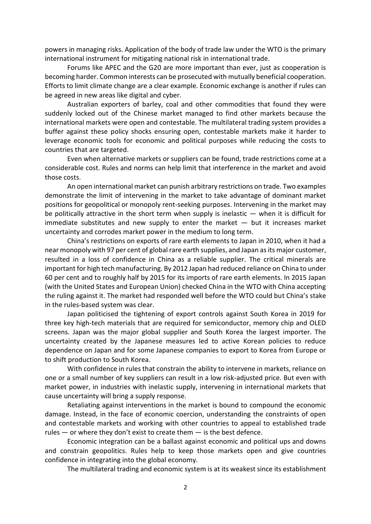powers in managing risks. Application of the body of trade law under the WTO is the primary international instrument for mitigating national risk in international trade.

Forums like APEC and the G20 are more important than ever, just as cooperation is becoming harder. Common interests can be prosecuted with mutually beneficial cooperation. Efforts to limit climate change are a clear example. Economic exchange is another if rules can be agreed in new areas like digital and cyber.

Australian exporters of barley, coal and other commodities that found they were suddenly locked out of the Chinese market managed to find other markets because the international markets were open and contestable. The multilateral trading system provides a buffer against these policy shocks ensuring open, contestable markets make it harder to leverage economic tools for economic and political purposes while reducing the costs to countries that are targeted.

Even when alternative markets or suppliers can be found, trade restrictions come at a considerable cost. Rules and norms can help limit that interference in the market and avoid those costs.

An open international market can punish arbitrary restrictions on trade. Two examples demonstrate the limit of intervening in the market to take advantage of dominant market positions for geopolitical or monopoly rent-seeking purposes. Intervening in the market may be politically attractive in the short term when supply is inelastic — when it is difficult for immediate substitutes and new supply to enter the market  $-$  but it increases market uncertainty and corrodes market power in the medium to long term.

China's restrictions on exports of rare earth elements to Japan in 2010, when it had a near monopoly with 97 per cent of global rare earth supplies, and Japan as its major customer, resulted in a loss of confidence in China as a reliable supplier. The critical minerals are important for high tech manufacturing. By 2012 Japan had reduced reliance on China to under 60 per cent and to roughly half by 2015 for its imports of rare earth elements. In 2015 Japan (with the United States and European Union) checked China in the WTO with China accepting the ruling against it. The market had responded well before the WTO could but China's stake in the rules-based system was clear.

Japan politicised the tightening of export controls against South Korea in 2019 for three key high-tech materials that are required for semiconductor, memory chip and OLED screens. Japan was the major global supplier and South Korea the largest importer. The uncertainty created by the Japanese measures led to active Korean policies to reduce dependence on Japan and for some Japanese companies to export to Korea from Europe or to shift production to South Korea.

With confidence in rules that constrain the ability to intervene in markets, reliance on one or a small number of key suppliers can result in a low risk-adjusted price. But even with market power, in industries with inelastic supply, intervening in international markets that cause uncertainty will bring a supply response.

Retaliating against interventions in the market is bound to compound the economic damage. Instead, in the face of economic coercion, understanding the constraints of open and contestable markets and working with other countries to appeal to established trade rules — or where they don't exist to create them — is the best defence.

Economic integration can be a ballast against economic and political ups and downs and constrain geopolitics. Rules help to keep those markets open and give countries confidence in integrating into the global economy.

The multilateral trading and economic system is at its weakest since its establishment